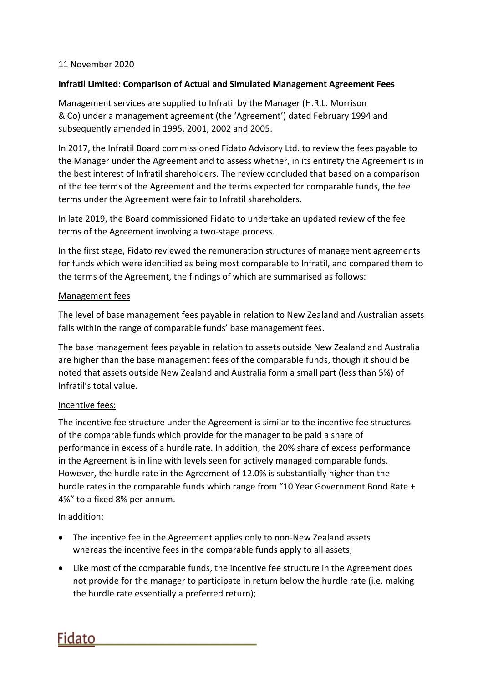## 11 November 2020

## **Infratil Limited: Comparison of Actual and Simulated Management Agreement Fees**

Management services are supplied to Infratil by the Manager (H.R.L. Morrison & Co) under a management agreement (the 'Agreement') dated February 1994 and subsequently amended in 1995, 2001, 2002 and 2005.

In 2017, the Infratil Board commissioned Fidato Advisory Ltd. to review the fees payable to the Manager under the Agreement and to assess whether, in its entirety the Agreement is in the best interest of Infratil shareholders. The review concluded that based on a comparison of the fee terms of the Agreement and the terms expected for comparable funds, the fee terms under the Agreement were fair to Infratil shareholders.

In late 2019, the Board commissioned Fidato to undertake an updated review of the fee terms of the Agreement involving a two‐stage process.

In the first stage, Fidato reviewed the remuneration structures of management agreements for funds which were identified as being most comparable to Infratil, and compared them to the terms of the Agreement, the findings of which are summarised as follows:

## Management fees

The level of base management fees payable in relation to New Zealand and Australian assets falls within the range of comparable funds' base management fees.

The base management fees payable in relation to assets outside New Zealand and Australia are higher than the base management fees of the comparable funds, though it should be noted that assets outside New Zealand and Australia form a small part (less than 5%) of Infratil's total value.

## Incentive fees:

The incentive fee structure under the Agreement is similar to the incentive fee structures of the comparable funds which provide for the manager to be paid a share of performance in excess of a hurdle rate. In addition, the 20% share of excess performance in the Agreement is in line with levels seen for actively managed comparable funds. However, the hurdle rate in the Agreement of 12.0% is substantially higher than the hurdle rates in the comparable funds which range from "10 Year Government Bond Rate + 4%" to a fixed 8% per annum.

In addition:

- The incentive fee in the Agreement applies only to non-New Zealand assets whereas the incentive fees in the comparable funds apply to all assets;
- Like most of the comparable funds, the incentive fee structure in the Agreement does not provide for the manager to participate in return below the hurdle rate (i.e. making the hurdle rate essentially a preferred return);

Fidato